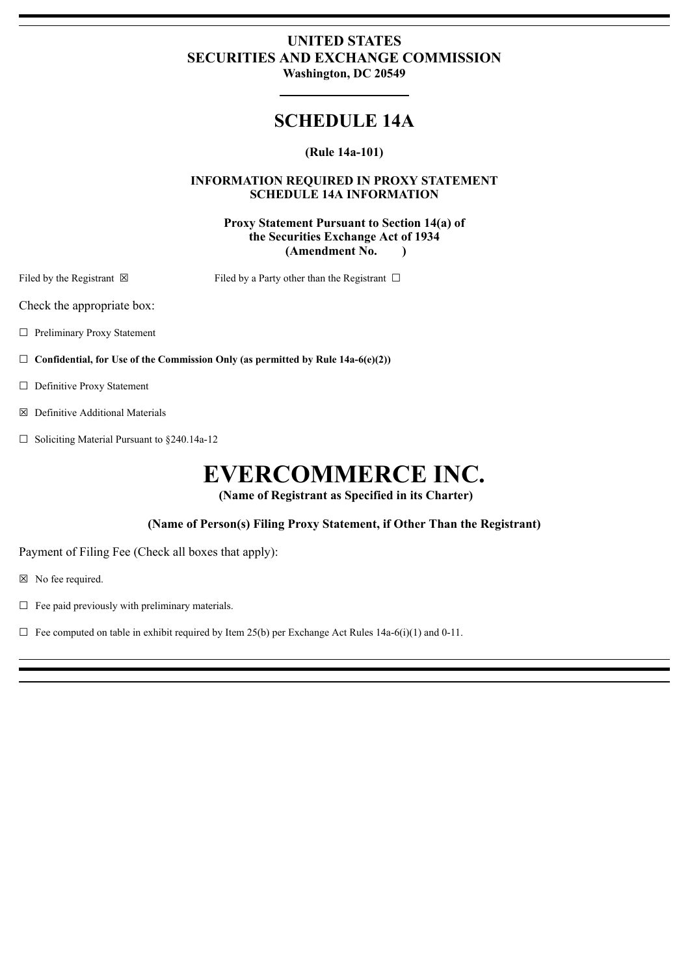## **UNITED STATES SECURITIES AND EXCHANGE COMMISSION Washington, DC 20549**

# **SCHEDULE 14A**

### **(Rule 14a-101)**

#### **INFORMATION REQUIRED IN PROXY STATEMENT SCHEDULE 14A INFORMATION**

#### **Proxy Statement Pursuant to Section 14(a) of the Securities Exchange Act of 1934 (Amendment No. )**

Filed by the Registrant  $\boxtimes$  Filed by a Party other than the Registrant  $\Box$ 

Check the appropriate box:

☐ Preliminary Proxy Statement

☐ **Confidential, for Use of the Commission Only (as permitted by Rule 14a-6(e)(2))**

- ☐ Definitive Proxy Statement
- ☒ Definitive Additional Materials
- $\Box$  Soliciting Material Pursuant to §240.14a-12

# **EVERCOMMERCE INC.**

**(Name of Registrant as Specified in its Charter)**

**(Name of Person(s) Filing Proxy Statement, if Other Than the Registrant)**

Payment of Filing Fee (Check all boxes that apply):

☒ No fee required.

 $\Box$  Fee paid previously with preliminary materials.

 $\Box$  Fee computed on table in exhibit required by Item 25(b) per Exchange Act Rules 14a-6(i)(1) and 0-11.